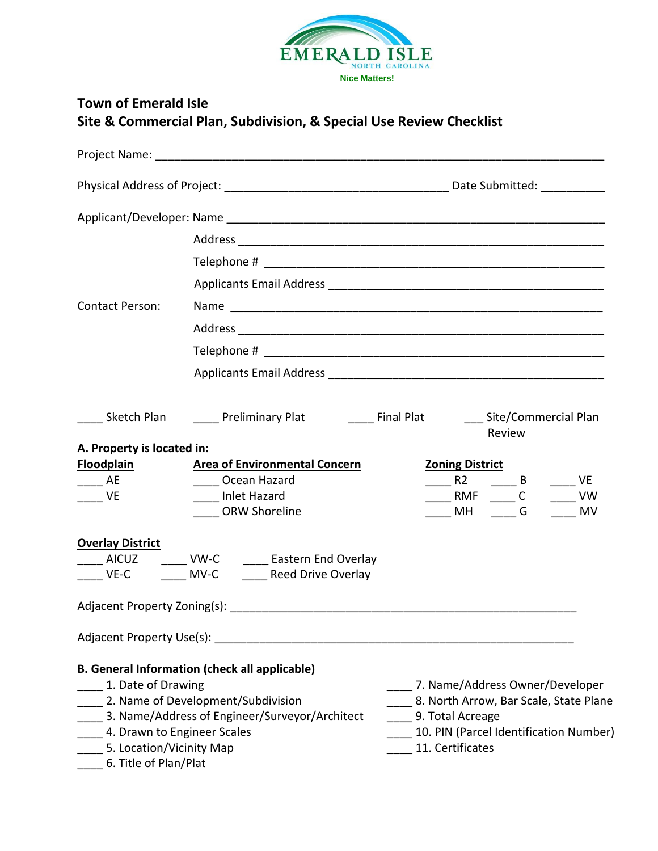

|                                                                                                        | Site & Commercial Plan, Subdivision, & Special Use Review Checklist                                                                          |                                                                                                                                                                                                                                                                                                                                                                                             |
|--------------------------------------------------------------------------------------------------------|----------------------------------------------------------------------------------------------------------------------------------------------|---------------------------------------------------------------------------------------------------------------------------------------------------------------------------------------------------------------------------------------------------------------------------------------------------------------------------------------------------------------------------------------------|
|                                                                                                        |                                                                                                                                              |                                                                                                                                                                                                                                                                                                                                                                                             |
|                                                                                                        |                                                                                                                                              |                                                                                                                                                                                                                                                                                                                                                                                             |
|                                                                                                        |                                                                                                                                              |                                                                                                                                                                                                                                                                                                                                                                                             |
|                                                                                                        |                                                                                                                                              |                                                                                                                                                                                                                                                                                                                                                                                             |
|                                                                                                        |                                                                                                                                              |                                                                                                                                                                                                                                                                                                                                                                                             |
|                                                                                                        |                                                                                                                                              |                                                                                                                                                                                                                                                                                                                                                                                             |
| Contact Person:                                                                                        |                                                                                                                                              |                                                                                                                                                                                                                                                                                                                                                                                             |
|                                                                                                        |                                                                                                                                              |                                                                                                                                                                                                                                                                                                                                                                                             |
|                                                                                                        |                                                                                                                                              |                                                                                                                                                                                                                                                                                                                                                                                             |
|                                                                                                        |                                                                                                                                              |                                                                                                                                                                                                                                                                                                                                                                                             |
| A. Property is located in:<br><b>Floodplain</b><br><b>Example 2</b><br>$\frac{1}{\sqrt{2}}$ VE         | <b>Area of Environmental Concern</b><br>Ocean Hazard<br>____ Inlet Hazard<br><b>ORW Shoreline</b>                                            | _____ Sketch Plan ________ Preliminary Plat __________________Final Plat ______________Site/Commercial Plan<br>Review<br><b>Zoning District</b><br>$R^2$ $R^2$ $R^2$ $R^2$ $R^2$ $R^2$ $R^2$ $R^2$ $R^2$ $R^2$ $R^2$ $R^2$ $R^2$ $R^2$ $R^2$ $R^2$ $R^2$ $R^2$ $R^2$ $R^2$ $R^2$ $R^2$ $R^2$ $R^2$ $R^2$ $R^2$ $R^2$ $R^2$ $R^2$ $R^2$ $R^2$ $R^2$ $R^2$ $R^2$ $R^2$ $R^2$ $R^2$<br>MH G MV |
| <b>Overlay District</b>                                                                                |                                                                                                                                              |                                                                                                                                                                                                                                                                                                                                                                                             |
|                                                                                                        | _____ AICUZ _______ VW-C ______ Eastern End Overlay                                                                                          |                                                                                                                                                                                                                                                                                                                                                                                             |
|                                                                                                        |                                                                                                                                              |                                                                                                                                                                                                                                                                                                                                                                                             |
|                                                                                                        |                                                                                                                                              |                                                                                                                                                                                                                                                                                                                                                                                             |
| 1. Date of Drawing<br>4. Drawn to Engineer Scales<br>5. Location/Vicinity Map<br>6. Title of Plan/Plat | <b>B. General Information (check all applicable)</b><br>2. Name of Development/Subdivision<br>3. Name/Address of Engineer/Surveyor/Architect | 7. Name/Address Owner/Developer<br>8. North Arrow, Bar Scale, State Plane<br>9. Total Acreage<br>10. PIN (Parcel Identification Number)<br>11. Certificates                                                                                                                                                                                                                                 |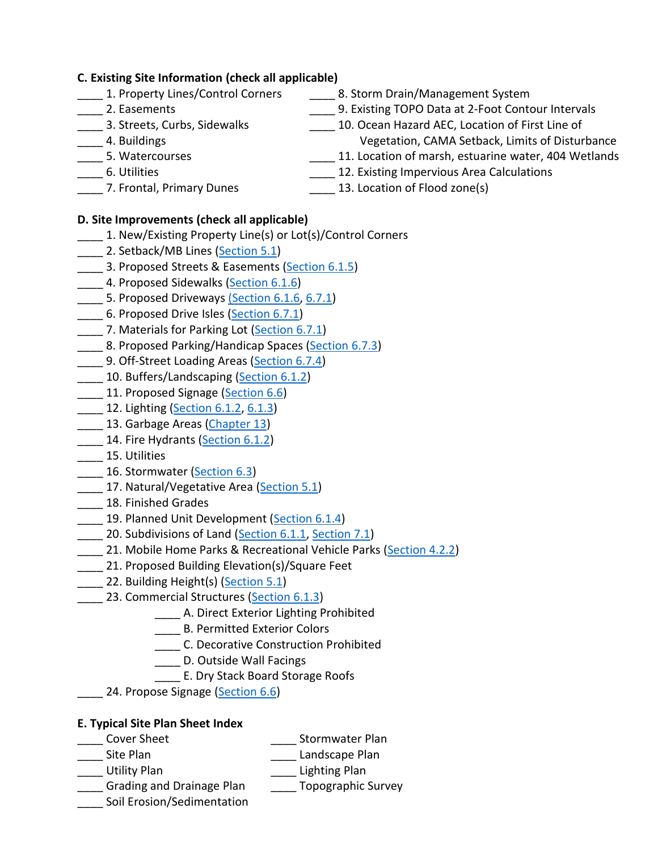### **C. Existing Site Information (check all applicable)**

- 
- 
- 
- 
- 
- 
- **\_\_\_\_** 1. Property Lines/Control Corners \_\_\_\_\_\_ 8. Storm Drain/Management System
	- Lettual 2. Easements and the contour late of the contour intervals contour Intervals
- 10. Ocean Hazard AEC, Location of First Line of 2. Location of First Line of \_\_\_\_ 4. Buildings Vegetation, CAMA Setback, Limits of Disturbance
- \_\_\_\_ 5. Watercourses \_\_\_\_\_\_ 11. Location of marsh, estuarine water, 404 Wetlands
- \_\_\_\_ 6. Utilities \_\_\_\_ 12. Existing Impervious Area Calculations
- - 7. Frontal, Primary Dunes **2. 13. Location of Flood zone(s)**

## **D. Site Improvements (check all applicable)**

- \_\_\_\_ 1. New/Existing Property Line(s) or Lot(s)/Control Corners
- 2. Setback/MB Lines [\(Section 5.1\)](https://www.municode.com/library/nc/emerald_isle/codes/code_of_ordinances?nodeId=APXAUNDEOR_CH5DEINDIST_5.1DETEMETA)
- 3. Proposed Streets & Easements [\(Section 6.1.5\)](https://www.municode.com/library/nc/emerald_isle/codes/code_of_ordinances?nodeId=APXAUNDEOR_CH6DEST_6.1.5ST)
- 4. Proposed Sidewalks [\(Section 6.1.6\)](https://www.municode.com/library/nc/emerald_isle/codes/code_of_ordinances?nodeId=APXAUNDEOR_CH6DEST_6.1.6SIDR)
- 5. Proposed Driveways [\(Section 6.1.6,](https://www.municode.com/library/nc/emerald_isle/codes/code_of_ordinances?nodeId=APXAUNDEOR_CH6DEST_6.1.6SIDR) [6.7.1\)](https://www.municode.com/library/nc/emerald_isle/codes/code_of_ordinances?nodeId=APXAUNDEOR_CH6DEST_6.7.1DESP)
- \_\_\_\_ 6. Proposed Drive Isles [\(Section 6.7.1\)](https://www.municode.com/library/nc/emerald_isle/codes/code_of_ordinances?nodeId=APXAUNDEOR_CH6DEST_6.7.1DESP)
- 7. Materials for Parking Lot [\(Section 6.7.1\)](https://www.municode.com/library/nc/emerald_isle/codes/code_of_ordinances?nodeId=APXAUNDEOR_CH6DEST_6.7.1DESP)
- 8. Proposed Parking/Handicap Spaces [\(Section 6.7.3\)](https://www.municode.com/library/nc/emerald_isle/codes/code_of_ordinances?nodeId=APXAUNDEOR_CH6DEST_6.7.3SPUSST)
- 9. Off-Street Loading Areas [\(Section 6.7.4\)](https://www.municode.com/library/nc/emerald_isle/codes/code_of_ordinances?nodeId=APXAUNDEOR_CH6DEST_6.7.4ORELO)
- 10. Buffers/Landscaping [\(Section 6.1.2\)](https://www.municode.com/library/nc/emerald_isle/codes/code_of_ordinances?nodeId=APXAUNDEOR_CH6DEST_6.1.2BUMIUSDI)
- 11. Proposed Signage [\(Section 6.6\)](https://www.municode.com/library/nc/emerald_isle/codes/code_of_ordinances?nodeId=APXAUNDEOR_CH6DEST_6.6SI)
- **12. Lighting [\(Section 6.1.2,](https://www.municode.com/library/nc/emerald_isle/codes/code_of_ordinances?nodeId=APXAUNDEOR_CH6DEST_6.1.2BUMIUSDI) [6.1.3\)](https://www.municode.com/library/nc/emerald_isle/codes/code_of_ordinances?nodeId=APXAUNDEOR_CH6DEST_6.1.3COST)**
- 13. Garbage Areas [\(Chapter 13\)](https://www.municode.com/library/nc/emerald_isle/codes/code_of_ordinances?nodeId=PTIICOOR_CH13SOWAMA)
- 14. Fire Hydrants [\(Section 6.1.2\)](https://www.municode.com/library/nc/emerald_isle/codes/code_of_ordinances?nodeId=APXAUNDEOR_CH6DEST_6.1.2BUMIUSDI)
- \_\_\_\_ 15. Utilities
- 16. Stormwater [\(Section 6.3\)](https://www.municode.com/library/nc/emerald_isle/codes/code_of_ordinances?nodeId=APXAUNDEOR_CH6DEST_6.3STMA)
- 17. Natural/Vegetative Area [\(Section](https://www.municode.com/library/nc/emerald_isle/codes/code_of_ordinances?nodeId=APXAUNDEOR_CH5DEINDIST_5.1DETEMETA) 5.1)
- \_\_\_\_ 18. Finished Grades
- 19. Planned Unit Development [\(Section 6.1.4\)](https://www.municode.com/library/nc/emerald_isle/codes/code_of_ordinances?nodeId=APXAUNDEOR_CH6DEST_6.1.4PLUNDE)
- 20. Subdivisions of Land [\(Section 6.1.1,](https://www.municode.com/library/nc/emerald_isle/codes/code_of_ordinances?nodeId=APXAUNDEOR_CH6DEST_6.1.1SULA) [Section 7.1\)](https://www.municode.com/library/nc/emerald_isle/codes/code_of_ordinances?nodeId=APXAUNDEOR_CH7SUST_7.1GE)
- 21. Mobile Home Parks & Recreational Vehicle Parks [\(Section 4.2.2\)](https://www.municode.com/library/nc/emerald_isle/codes/code_of_ordinances?nodeId=APXAUNDEOR_CH4USRE_4.2.2MOHOPAREVEPA)
- \_\_\_\_ 21. Proposed Building Elevation(s)/Square Feet
- 122. Building Height(s) [\(Section 5.1\)](https://www.municode.com/library/nc/emerald_isle/codes/code_of_ordinances?nodeId=APXAUNDEOR_CH5DEINDIST_5.1DETEMETA)
- 23. Commercial Structures [\(Section 6.1.3\)](https://www.municode.com/library/nc/emerald_isle/codes/code_of_ordinances?nodeId=APXAUNDEOR_CH6DEST_6.1.3COST)
	- \_\_\_\_ A. Direct Exterior Lighting Prohibited
	- **\_\_\_\_\_** B. Permitted Exterior Colors
	- \_\_\_\_ C. Decorative Construction Prohibited
	- \_\_\_\_ D. Outside Wall Facings
	- \_\_\_\_ E. Dry Stack Board Storage Roofs
	- \_\_\_\_ 24. Propose Signage [\(Section 6.6\)](https://www.municode.com/library/nc/emerald_isle/codes/code_of_ordinances?nodeId=APXAUNDEOR_CH6DEST_6.6SI)

# **E. Typical Site Plan Sheet Index**

- Cover Sheet **Sheet Stormwater Plan**
- Site Plan **Exercise Site Plan** Landscape Plan
- Lacker Utility Plan **Lacker Contract Contract Contract Contract Contract Contract Contract Contract Contract Co**
- \_\_\_\_ Grading and Drainage Plan \_\_\_\_ Topographic Survey
- \_\_\_\_ Soil Erosion/Sedimentation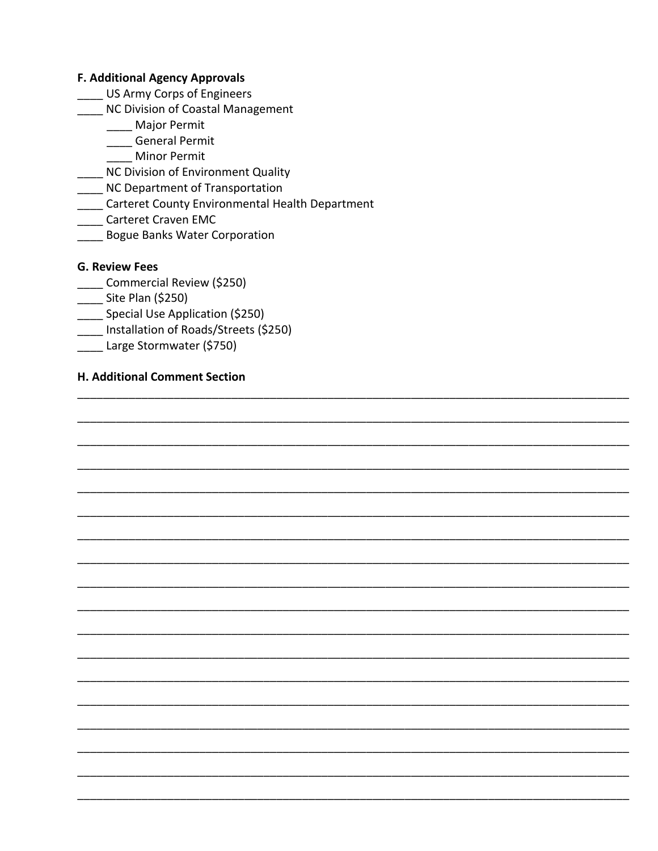#### **F. Additional Agency Approvals**

- \_ US Army Corps of Engineers
- NC Division of Coastal Management
	- \_\_\_ Major Permit

\_\_\_\_ General Permit

- **Minor Permit**
- NC Division of Environment Quality
- NC Department of Transportation
- \_\_\_\_ Carteret County Environmental Health Department
- **Carteret Craven EMC**
- **Bogue Banks Water Corporation**

### **G. Review Fees**

- Commercial Review (\$250)
- \_\_\_\_ Site Plan (\$250)
- Special Use Application (\$250)
- \_\_\_ Installation of Roads/Streets (\$250)
- \_\_\_\_ Large Stormwater (\$750)

#### H. Additional Comment Section